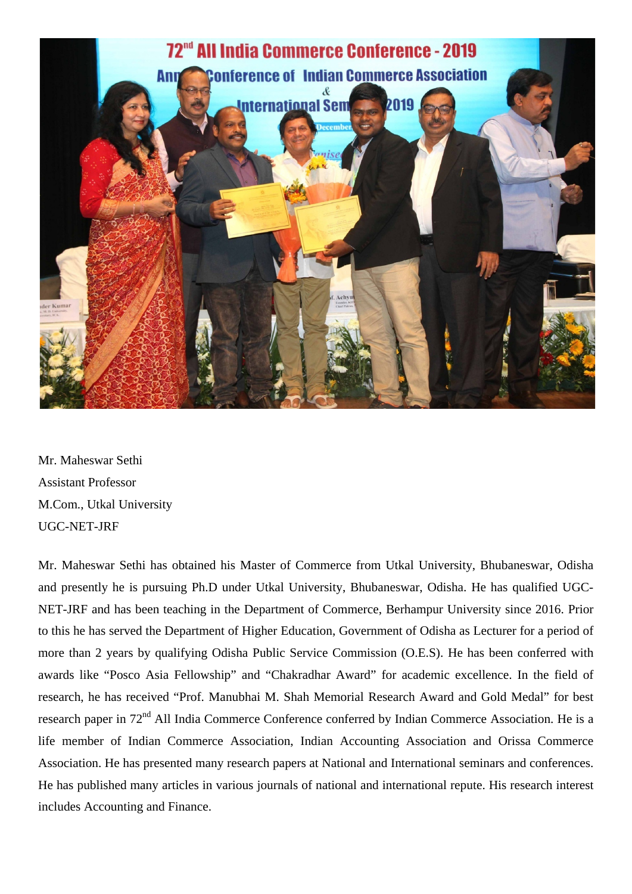

Mr. Maheswar Sethi Assistant Professor M.Com., Utkal University UGC-NET-JRF

Mr. Maheswar Sethi has obtained his Master of Commerce from Utkal University, Bhubaneswar, Odisha and presently he is pursuing Ph.D under Utkal University, Bhubaneswar, Odisha. He has qualified UGC-NET-JRF and has been teaching in the Department of Commerce, Berhampur University since 2016. Prior to this he has served the Department of Higher Education, Government of Odisha as Lecturer for a period of more than 2 years by qualifying Odisha Public Service Commission (O.E.S). He has been conferred with awards like "Posco Asia Fellowship" and "Chakradhar Award" for academic excellence. In the field of research, he has received "Prof. Manubhai M. Shah Memorial Research Award and Gold Medal" for best research paper in 72<sup>nd</sup> All India Commerce Conference conferred by Indian Commerce Association. He is a life member of Indian Commerce Association, Indian Accounting Association and Orissa Commerce Association. He has presented many research papers at National and International seminars and conferences. He has published many articles in various journals of national and international repute. His research interest includes Accounting and Finance.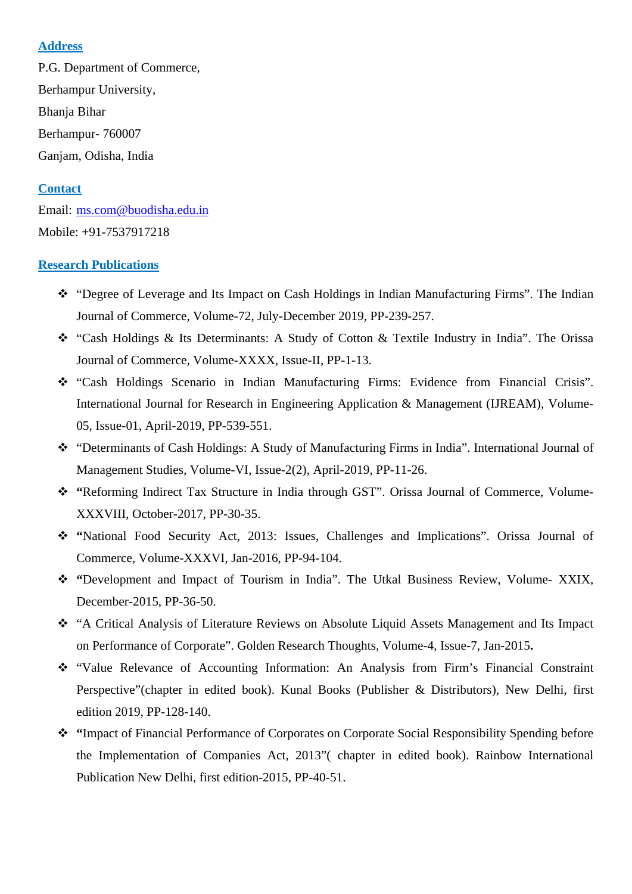### **Address**

P.G. Department of Commerce, Berhampur University, Bhanja Bihar Berhampur- 760007 Ganjam, Odisha, India

## **Contact**

Email: [ms.com@buodisha.edu.in](mailto:ms.com@buodisha.edu.in) Mobile: +91-7537917218

#### **Research Publications**

- "Degree of Leverage and Its Impact on Cash Holdings in Indian Manufacturing Firms". The Indian Journal of Commerce, Volume-72, July-December 2019, PP-239-257.
- "Cash Holdings & Its Determinants: A Study of Cotton & Textile Industry in India". The Orissa Journal of Commerce, Volume-XXXX, Issue-II, PP-1-13.
- "Cash Holdings Scenario in Indian Manufacturing Firms: Evidence from Financial Crisis". International Journal for Research in Engineering Application & Management (IJREAM), Volume-05, Issue-01, April-2019, PP-539-551.
- "Determinants of Cash Holdings: A Study of Manufacturing Firms in India". International Journal of Management Studies, Volume-VI, Issue-2(2), April-2019, PP-11-26.
- \* "Reforming Indirect Tax Structure in India through GST". Orissa Journal of Commerce, Volume-XXXVIII, October-2017, PP-30-35.
- **"**National Food Security Act, 2013: Issues, Challenges and Implications". Orissa Journal of Commerce, Volume-XXXVI, Jan-2016, PP-94-104.
- **"**Development and Impact of Tourism in India". The Utkal Business Review, Volume- XXIX, December-2015, PP-36-50.
- "A Critical Analysis of Literature Reviews on Absolute Liquid Assets Management and Its Impact on Performance of Corporate". Golden Research Thoughts, Volume-4, Issue-7, Jan-2015**.**
- "Value Relevance of Accounting Information: An Analysis from Firm's Financial Constraint Perspective"(chapter in edited book). Kunal Books (Publisher & Distributors), New Delhi, first edition 2019, PP-128-140.
- **"**Impact of Financial Performance of Corporates on Corporate Social Responsibility Spending before the Implementation of Companies Act, 2013"( chapter in edited book). Rainbow International Publication New Delhi, first edition-2015, PP-40-51.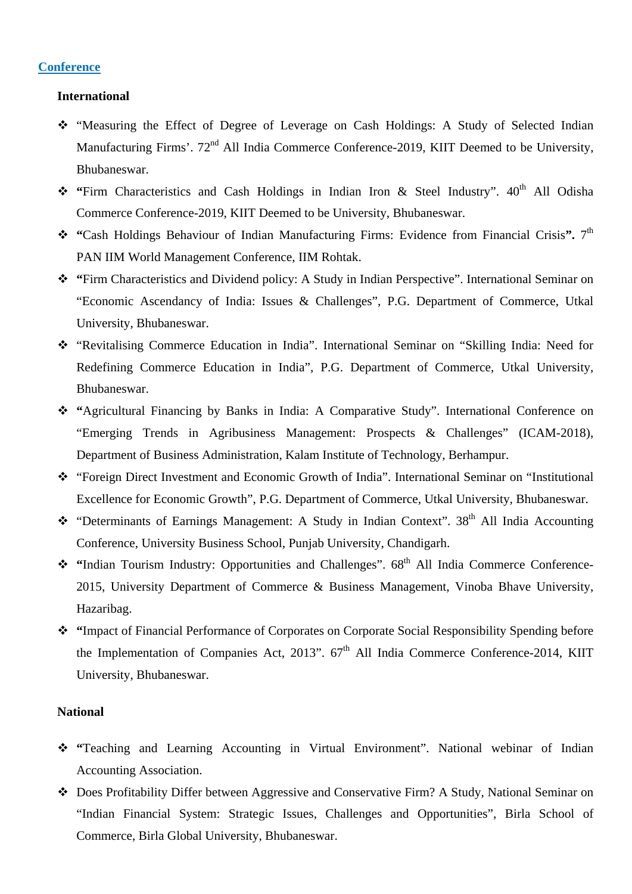### **Conference**

#### **International**

- "Measuring the Effect of Degree of Leverage on Cash Holdings: A Study of Selected Indian Manufacturing Firms', 72<sup>nd</sup> All India Commerce Conference-2019, KIIT Deemed to be University, Bhubaneswar.
- \* "Firm Characteristics and Cash Holdings in Indian Iron & Steel Industry". 40<sup>th</sup> All Odisha Commerce Conference-2019, KIIT Deemed to be University, Bhubaneswar.
- **"**Cash Holdings Behaviour of Indian Manufacturing Firms: Evidence from Financial Crisis**".** 7th PAN IIM World Management Conference, IIM Rohtak.
- **"**Firm Characteristics and Dividend policy: A Study in Indian Perspective". International Seminar on "Economic Ascendancy of India: Issues & Challenges", P.G. Department of Commerce, Utkal University, Bhubaneswar.
- "Revitalising Commerce Education in India". International Seminar on "Skilling India: Need for Redefining Commerce Education in India", P.G. Department of Commerce, Utkal University, Bhubaneswar.
- **"**Agricultural Financing by Banks in India: A Comparative Study". International Conference on "Emerging Trends in Agribusiness Management: Prospects & Challenges" (ICAM-2018), Department of Business Administration, Kalam Institute of Technology, Berhampur.
- "Foreign Direct Investment and Economic Growth of India". International Seminar on "Institutional Excellence for Economic Growth", P.G. Department of Commerce, Utkal University, Bhubaneswar.
- \* "Determinants of Earnings Management: A Study in Indian Context". 38<sup>th</sup> All India Accounting Conference, University Business School, Punjab University, Chandigarh.
- <sup>\*</sup> "Indian Tourism Industry: Opportunities and Challenges".  $68<sup>th</sup>$  All India Commerce Conference-2015, University Department of Commerce & Business Management, Vinoba Bhave University, Hazaribag.
- **"**Impact of Financial Performance of Corporates on Corporate Social Responsibility Spending before the Implementation of Companies Act, 2013".  $67<sup>th</sup>$  All India Commerce Conference-2014, KIIT University, Bhubaneswar.

#### **National**

- \* "Teaching and Learning Accounting in Virtual Environment". National webinar of Indian Accounting Association.
- Does Profitability Differ between Aggressive and Conservative Firm? A Study, National Seminar on "Indian Financial System: Strategic Issues, Challenges and Opportunities", Birla School of Commerce, Birla Global University, Bhubaneswar.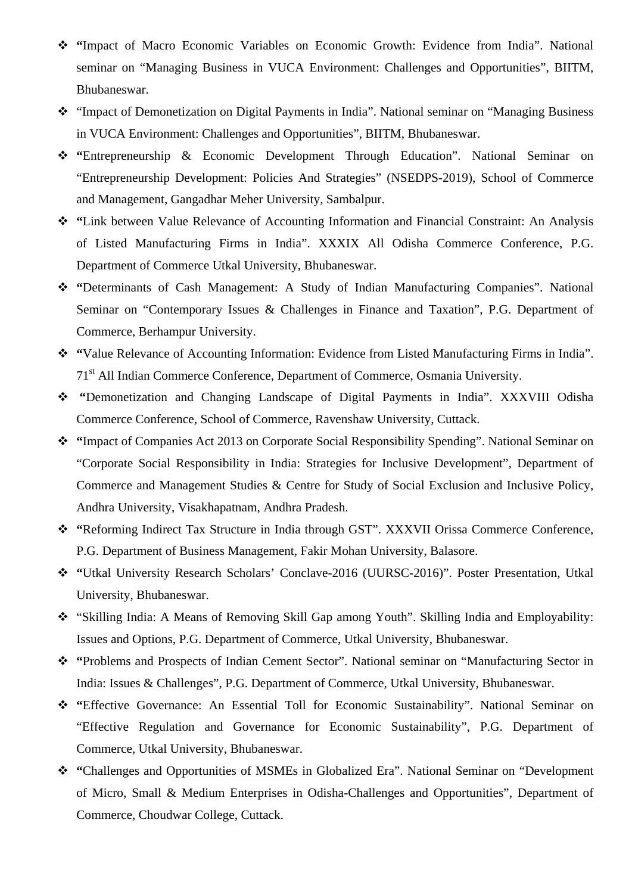- **"**Impact of Macro Economic Variables on Economic Growth: Evidence from India". National seminar on "Managing Business in VUCA Environment: Challenges and Opportunities", BIITM, Bhubaneswar.
- "Impact of Demonetization on Digital Payments in India". National seminar on "Managing Business in VUCA Environment: Challenges and Opportunities", BIITM, Bhubaneswar.
- **"**Entrepreneurship & Economic Development Through Education". National Seminar on "Entrepreneurship Development: Policies And Strategies" (NSEDPS-2019), School of Commerce and Management, Gangadhar Meher University, Sambalpur.
- **"**Link between Value Relevance of Accounting Information and Financial Constraint: An Analysis of Listed Manufacturing Firms in India". XXXIX All Odisha Commerce Conference, P.G. Department of Commerce Utkal University, Bhubaneswar.
- **"**Determinants of Cash Management: A Study of Indian Manufacturing Companies". National Seminar on "Contemporary Issues & Challenges in Finance and Taxation", P.G. Department of Commerce, Berhampur University.
- **"**Value Relevance of Accounting Information: Evidence from Listed Manufacturing Firms in India". 71st All Indian Commerce Conference, Department of Commerce, Osmania University.
- **"**Demonetization and Changing Landscape of Digital Payments in India". XXXVIII Odisha Commerce Conference, School of Commerce, Ravenshaw University, Cuttack.
- **"**Impact of Companies Act 2013 on Corporate Social Responsibility Spending". National Seminar on "Corporate Social Responsibility in India: Strategies for Inclusive Development", Department of Commerce and Management Studies & Centre for Study of Social Exclusion and Inclusive Policy, Andhra University, Visakhapatnam, Andhra Pradesh.
- \* "Reforming Indirect Tax Structure in India through GST". XXXVII Orissa Commerce Conference, P.G. Department of Business Management, Fakir Mohan University, Balasore.
- **"**Utkal University Research Scholars' Conclave-2016 (UURSC-2016)". Poster Presentation, Utkal University, Bhubaneswar.
- "Skilling India: A Means of Removing Skill Gap among Youth". Skilling India and Employability: Issues and Options, P.G. Department of Commerce, Utkal University, Bhubaneswar.
- **"**Problems and Prospects of Indian Cement Sector". National seminar on "Manufacturing Sector in India: Issues & Challenges", P.G. Department of Commerce, Utkal University, Bhubaneswar.
- **"**Effective Governance: An Essential Toll for Economic Sustainability". National Seminar on "Effective Regulation and Governance for Economic Sustainability", P.G. Department of Commerce, Utkal University, Bhubaneswar.
- **"**Challenges and Opportunities of MSMEs in Globalized Era". National Seminar on "Development of Micro, Small & Medium Enterprises in Odisha-Challenges and Opportunities", Department of Commerce, Choudwar College, Cuttack.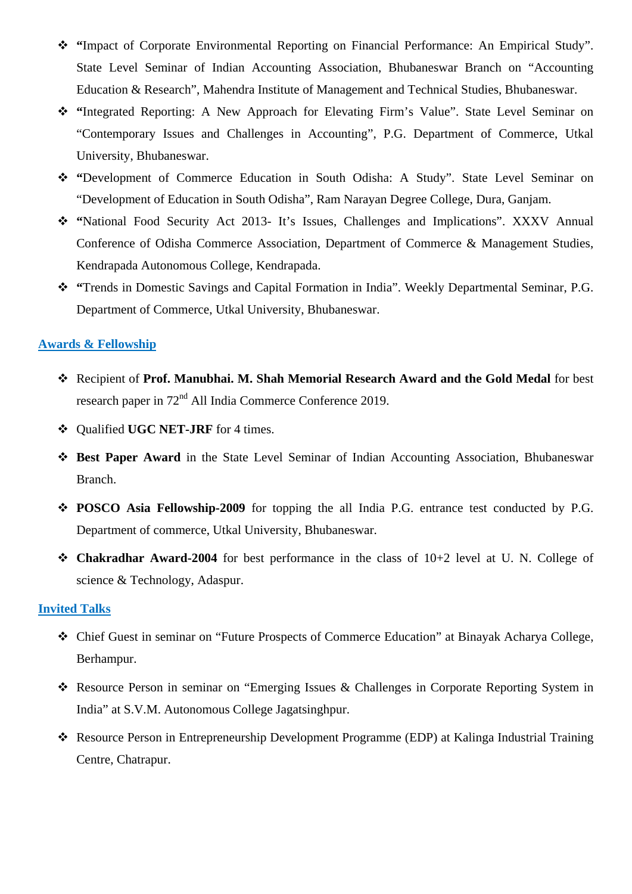- **"**Impact of Corporate Environmental Reporting on Financial Performance: An Empirical Study". State Level Seminar of Indian Accounting Association, Bhubaneswar Branch on "Accounting Education & Research", Mahendra Institute of Management and Technical Studies, Bhubaneswar.
- \* "Integrated Reporting: A New Approach for Elevating Firm's Value". State Level Seminar on "Contemporary Issues and Challenges in Accounting", P.G. Department of Commerce, Utkal University, Bhubaneswar.
- **"**Development of Commerce Education in South Odisha: A Study". State Level Seminar on "Development of Education in South Odisha", Ram Narayan Degree College, Dura, Ganjam.
- **"**National Food Security Act 2013- It's Issues, Challenges and Implications". XXXV Annual Conference of Odisha Commerce Association, Department of Commerce & Management Studies, Kendrapada Autonomous College, Kendrapada.
- **"**Trends in Domestic Savings and Capital Formation in India". Weekly Departmental Seminar, P.G. Department of Commerce, Utkal University, Bhubaneswar.

## **Awards & Fellowship**

- Recipient of **Prof. Manubhai. M. Shah Memorial Research Award and the Gold Medal** for best research paper in  $72<sup>nd</sup>$  All India Commerce Conference 2019.
- **❖** Qualified **UGC NET-JRF** for 4 times.
- **Best Paper Award** in the State Level Seminar of Indian Accounting Association, Bhubaneswar Branch.
- **POSCO Asia Fellowship-2009** for topping the all India P.G. entrance test conducted by P.G. Department of commerce, Utkal University, Bhubaneswar.
- **Chakradhar Award-2004** for best performance in the class of 10+2 level at U. N. College of science & Technology, Adaspur.

### **Invited Talks**

- Chief Guest in seminar on "Future Prospects of Commerce Education" at Binayak Acharya College, Berhampur.
- Resource Person in seminar on "Emerging Issues & Challenges in Corporate Reporting System in India" at S.V.M. Autonomous College Jagatsinghpur.
- Resource Person in Entrepreneurship Development Programme (EDP) at Kalinga Industrial Training Centre, Chatrapur.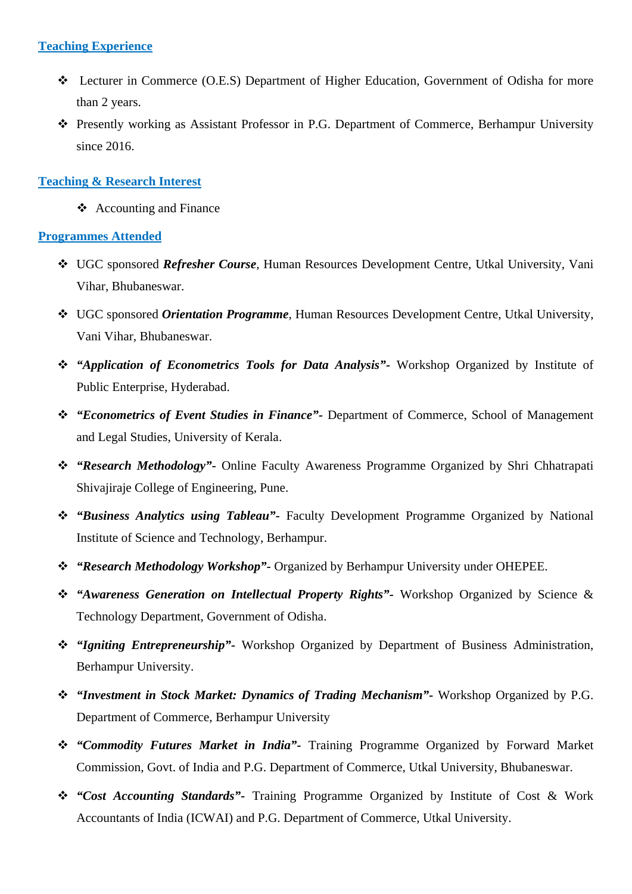### **Teaching Experience**

- Lecturer in Commerce (O.E.S) Department of Higher Education, Government of Odisha for more than 2 years.
- Presently working as Assistant Professor in P.G. Department of Commerce, Berhampur University since 2016.

### **Teaching & Research Interest**

 $\triangle$  Accounting and Finance

### **Programmes Attended**

- UGC sponsored *Refresher Course*, Human Resources Development Centre, Utkal University, Vani Vihar, Bhubaneswar.
- UGC sponsored *Orientation Programme*, Human Resources Development Centre, Utkal University, Vani Vihar, Bhubaneswar.
- *"Application of Econometrics Tools for Data Analysis"-* Workshop Organized by Institute of Public Enterprise, Hyderabad.
- *"Econometrics of Event Studies in Finance"-* Department of Commerce, School of Management and Legal Studies, University of Kerala.
- *"Research Methodology"-* Online Faculty Awareness Programme Organized by Shri Chhatrapati Shivajiraje College of Engineering, Pune.
- *"Business Analytics using Tableau"-* Faculty Development Programme Organized by National Institute of Science and Technology, Berhampur.
- *"Research Methodology Workshop"-* Organized by Berhampur University under OHEPEE.
- *"Awareness Generation on Intellectual Property Rights"-* Workshop Organized by Science & Technology Department, Government of Odisha.
- *"Igniting Entrepreneurship"-* Workshop Organized by Department of Business Administration, Berhampur University.
- *"Investment in Stock Market: Dynamics of Trading Mechanism"-* Workshop Organized by P.G. Department of Commerce, Berhampur University
- *"Commodity Futures Market in India"-* Training Programme Organized by Forward Market Commission, Govt. of India and P.G. Department of Commerce, Utkal University, Bhubaneswar.
- *"Cost Accounting Standards"-* Training Programme Organized by Institute of Cost & Work Accountants of India (ICWAI) and P.G. Department of Commerce, Utkal University.